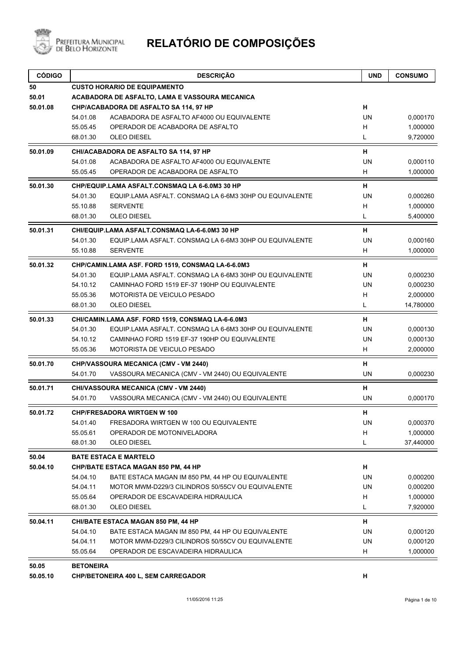

| <b>CÓDIGO</b> | <b>DESCRIÇÃO</b>                                                    | <b>UND</b> | <b>CONSUMO</b> |
|---------------|---------------------------------------------------------------------|------------|----------------|
| 50            | <b>CUSTO HORARIO DE EQUIPAMENTO</b>                                 |            |                |
| 50.01         | ACABADORA DE ASFALTO, LAMA E VASSOURA MECANICA                      |            |                |
| 50.01.08      | CHP/ACABADORA DE ASFALTO SA 114, 97 HP                              | н          |                |
|               | 54.01.08<br>ACABADORA DE ASFALTO AF4000 OU EQUIVALENTE              | UN         | 0,000170       |
|               | 55.05.45<br>OPERADOR DE ACABADORA DE ASFALTO                        | H          | 1,000000       |
|               | 68.01.30<br><b>OLEO DIESEL</b>                                      | L          | 9,720000       |
| 50.01.09      | CHI/ACABADORA DE ASFALTO SA 114, 97 HP                              | н          |                |
|               | 54.01.08<br>ACABADORA DE ASFALTO AF4000 OU EQUIVALENTE              | <b>UN</b>  | 0,000110       |
|               | 55.05.45<br>OPERADOR DE ACABADORA DE ASFALTO                        | н          | 1,000000       |
| 50.01.30      | CHP/EQUIP.LAMA ASFALT.CONSMAQ LA 6-6.0M3 30 HP                      | н          |                |
|               | 54.01.30<br>EQUIP LAMA ASFALT. CONSMAQ LA 6-6M3 30HP OU EQUIVALENTE | UN         | 0,000260       |
|               | 55.10.88<br><b>SERVENTE</b>                                         | н          | 1,000000       |
|               | 68.01.30<br><b>OLEO DIESEL</b>                                      | Г          | 5,400000       |
| 50.01.31      | CHI/EQUIP.LAMA ASFALT.CONSMAQ LA-6-6.0M3 30 HP                      | н          |                |
|               | 54.01.30<br>EQUIP.LAMA ASFALT. CONSMAQ LA 6-6M3 30HP OU EQUIVALENTE | <b>UN</b>  | 0,000160       |
|               | 55.10.88<br><b>SERVENTE</b>                                         | H          | 1,000000       |
| 50.01.32      | CHP/CAMIN.LAMA ASF. FORD 1519, CONSMAQ LA-6-6.0M3                   | н          |                |
|               | 54.01.30<br>EQUIP LAMA ASFALT. CONSMAQ LA 6-6M3 30HP OU EQUIVALENTE | <b>UN</b>  | 0,000230       |
|               | 54.10.12<br>CAMINHAO FORD 1519 EF-37 190HP OU EQUIVALENTE           | UN         | 0,000230       |
|               | 55.05.36<br><b>MOTORISTA DE VEICULO PESADO</b>                      | н          | 2,000000       |
|               | 68.01.30<br><b>OLEO DIESEL</b>                                      | L          | 14,780000      |
| 50.01.33      | CHI/CAMIN.LAMA ASF. FORD 1519, CONSMAQ LA-6-6.0M3                   | н          |                |
|               | 54.01.30<br>EQUIP.LAMA ASFALT. CONSMAQ LA 6-6M3 30HP OU EQUIVALENTE | UN         | 0,000130       |
|               | 54.10.12<br>CAMINHAO FORD 1519 EF-37 190HP OU EQUIVALENTE           | UN         | 0,000130       |
|               | 55.05.36<br><b>MOTORISTA DE VEICULO PESADO</b>                      | H          | 2,000000       |
| 50.01.70      | CHP/VASSOURA MECANICA (CMV - VM 2440)                               | н          |                |
|               | 54.01.70<br>VASSOURA MECANICA (CMV - VM 2440) OU EQUIVALENTE        | UN         | 0,000230       |
| 50.01.71      | CHI/VASSOURA MECANICA (CMV - VM 2440)                               | н          |                |
|               | 54.01.70<br>VASSOURA MECANICA (CMV - VM 2440) OU EQUIVALENTE        | UN         | 0,000170       |
| 50.01.72      | <b>CHP/FRESADORA WIRTGEN W 100</b>                                  | н          |                |
|               | FRESADORA WIRTGEN W 100 OU EQUIVALENTE<br>54.01.40                  | UN         | 0,000370       |
|               | 55.05.61<br>OPERADOR DE MOTONIVELADORA                              | Н          | 1,000000       |
|               | 68.01.30<br>OLEO DIESEL                                             | L          | 37,440000      |
| 50.04         | <b>BATE ESTACA E MARTELO</b>                                        |            |                |
| 50.04.10      | CHP/BATE ESTACA MAGAN 850 PM, 44 HP                                 | H          |                |
|               | BATE ESTACA MAGAN IM 850 PM, 44 HP OU EQUIVALENTE<br>54.04.10       | UN         | 0,000200       |
|               | MOTOR MWM-D229/3 CILINDROS 50/55CV OU EQUIVALENTE<br>54.04.11       | UN         | 0,000200       |
|               | 55.05.64<br>OPERADOR DE ESCAVADEIRA HIDRAULICA                      | H          | 1,000000       |
|               | OLEO DIESEL<br>68.01.30                                             | L          | 7,920000       |
| 50.04.11      | <b>CHI/BATE ESTACA MAGAN 850 PM, 44 HP</b>                          | н          |                |
|               | 54.04.10<br>BATE ESTACA MAGAN IM 850 PM, 44 HP OU EQUIVALENTE       | UN         | 0,000120       |
|               | MOTOR MWM-D229/3 CILINDROS 50/55CV OU EQUIVALENTE<br>54.04.11       | UN         | 0,000120       |
|               | 55.05.64<br>OPERADOR DE ESCAVADEIRA HIDRAULICA                      | H          | 1,000000       |
| 50.05         | <b>BETONEIRA</b>                                                    |            |                |
| 50.05.10      | CHP/BETONEIRA 400 L, SEM CARREGADOR                                 | н          |                |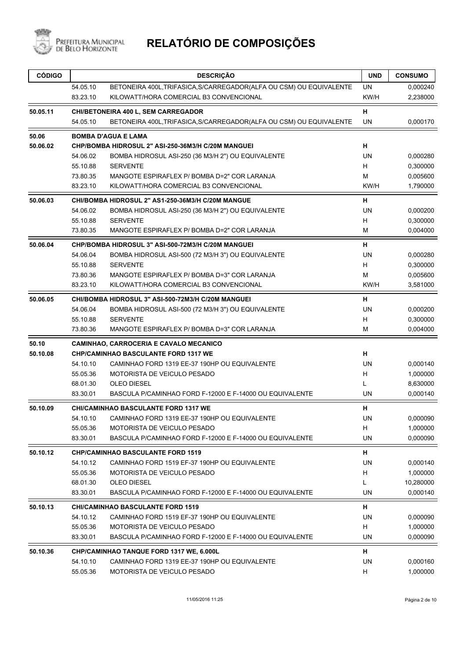

| <b>CÓDIGO</b> |          | <b>DESCRIÇÃO</b>                                                     | <b>UND</b> | <b>CONSUMO</b> |
|---------------|----------|----------------------------------------------------------------------|------------|----------------|
|               | 54.05.10 | BETONEIRA 400L, TRIFASICA, S/CARREGADOR (ALFA OU CSM) OU EQUIVALENTE | UN         | 0,000240       |
|               | 83.23.10 | KILOWATT/HORA COMERCIAL B3 CONVENCIONAL                              | KW/H       | 2,238000       |
| 50.05.11      |          | CHI/BETONEIRA 400 L, SEM CARREGADOR                                  | н          |                |
|               | 54.05.10 | BETONEIRA 400L, TRIFASICA, S/CARREGADOR (ALFA OU CSM) OU EQUIVALENTE | <b>UN</b>  | 0,000170       |
| 50.06         |          | <b>BOMBA D'AGUA E LAMA</b>                                           |            |                |
| 50.06.02      |          | CHP/BOMBA HIDROSUL 2" ASI-250-36M3/H C/20M MANGUEI                   | н          |                |
|               | 54.06.02 | BOMBA HIDROSUL ASI-250 (36 M3/H 2") OU EQUIVALENTE                   | UN         | 0,000280       |
|               | 55.10.88 | <b>SERVENTE</b>                                                      | H          | 0,300000       |
|               | 73.80.35 | MANGOTE ESPIRAFLEX P/ BOMBA D=2" COR LARANJA                         | M          | 0,005600       |
|               | 83.23.10 | KILOWATT/HORA COMERCIAL B3 CONVENCIONAL                              | KW/H       | 1,790000       |
| 50.06.03      |          | CHI/BOMBA HIDROSUL 2" AS1-250-36M3/H C/20M MANGUE                    | н          |                |
|               | 54.06.02 | BOMBA HIDROSUL ASI-250 (36 M3/H 2") OU EQUIVALENTE                   | <b>UN</b>  | 0,000200       |
|               | 55.10.88 | <b>SERVENTE</b>                                                      | H          | 0,300000       |
|               | 73.80.35 | MANGOTE ESPIRAFLEX P/ BOMBA D=2" COR LARANJA                         | М          | 0,004000       |
| 50.06.04      |          | CHP/BOMBA HIDROSUL 3" ASI-500-72M3/H C/20M MANGUEI                   | н          |                |
|               | 54.06.04 | BOMBA HIDROSUL ASI-500 (72 M3/H 3") OU EQUIVALENTE                   | <b>UN</b>  | 0,000280       |
|               | 55.10.88 | <b>SERVENTE</b>                                                      | H          | 0,300000       |
|               | 73.80.36 | MANGOTE ESPIRAFLEX P/ BOMBA D=3" COR LARANJA                         | M          | 0,005600       |
|               | 83.23.10 | KILOWATT/HORA COMERCIAL B3 CONVENCIONAL                              | KW/H       | 3,581000       |
| 50.06.05      |          | CHI/BOMBA HIDROSUL 3" ASI-500-72M3/H C/20M MANGUEI                   | н          |                |
|               | 54.06.04 | BOMBA HIDROSUL ASI-500 (72 M3/H 3") OU EQUIVALENTE                   | UN         | 0,000200       |
|               | 55.10.88 | <b>SERVENTE</b>                                                      | H          | 0,300000       |
|               | 73.80.36 | MANGOTE ESPIRAFLEX P/ BOMBA D=3" COR LARANJA                         | М          | 0,004000       |
| 50.10         |          | CAMINHAO, CARROCERIA E CAVALO MECANICO                               |            |                |
| 50.10.08      |          | <b>CHP/CAMINHAO BASCULANTE FORD 1317 WE</b>                          | н          |                |
|               | 54.10.10 | CAMINHAO FORD 1319 EE-37 190HP OU EQUIVALENTE                        | <b>UN</b>  | 0,000140       |
|               | 55.05.36 | <b>MOTORISTA DE VEICULO PESADO</b>                                   | H          | 1,000000       |
|               | 68.01.30 | <b>OLEO DIESEL</b>                                                   | L          | 8,630000       |
|               | 83.30.01 | BASCULA P/CAMINHAO FORD F-12000 E F-14000 OU EQUIVALENTE             | UN         | 0,000140       |
| 50.10.09      |          | <b>CHI/CAMINHAO BASCULANTE FORD 1317 WE</b>                          | н          |                |
|               |          | 54.10.10 CAMINHAO FORD 1319 EE-37 190HP OU EQUIVALENTE               | UN         | 0,000090       |
|               | 55.05.36 | MOTORISTA DE VEICULO PESADO                                          | H          | 1,000000       |
|               | 83.30.01 | BASCULA P/CAMINHAO FORD F-12000 E F-14000 OU EQUIVALENTE             | <b>UN</b>  | 0,000090       |
| 50.10.12      |          | <b>CHP/CAMINHAO BASCULANTE FORD 1519</b>                             | н          |                |
|               | 54.10.12 | CAMINHAO FORD 1519 EF-37 190HP OU EQUIVALENTE                        | <b>UN</b>  | 0,000140       |
|               | 55.05.36 | <b>MOTORISTA DE VEICULO PESADO</b>                                   | н          | 1,000000       |
|               | 68.01.30 | <b>OLEO DIESEL</b>                                                   | L          | 10,280000      |
|               | 83.30.01 | BASCULA P/CAMINHAO FORD F-12000 E F-14000 OU EQUIVALENTE             | UN         | 0,000140       |
| 50.10.13      |          | <b>CHI/CAMINHAO BASCULANTE FORD 1519</b>                             | н          |                |
|               | 54.10.12 | CAMINHAO FORD 1519 EF-37 190HP OU EQUIVALENTE                        | UN         | 0,000090       |
|               | 55.05.36 | MOTORISTA DE VEICULO PESADO                                          | H          | 1,000000       |
|               | 83.30.01 | BASCULA P/CAMINHAO FORD F-12000 E F-14000 OU EQUIVALENTE             | UN         | 0,000090       |
| 50.10.36      |          | CHP/CAMINHAO TANQUE FORD 1317 WE, 6.000L                             | н          |                |
|               | 54.10.10 | CAMINHAO FORD 1319 EE-37 190HP OU EQUIVALENTE                        | UN         | 0,000160       |
|               | 55.05.36 | <b>MOTORISTA DE VEICULO PESADO</b>                                   | н          | 1,000000       |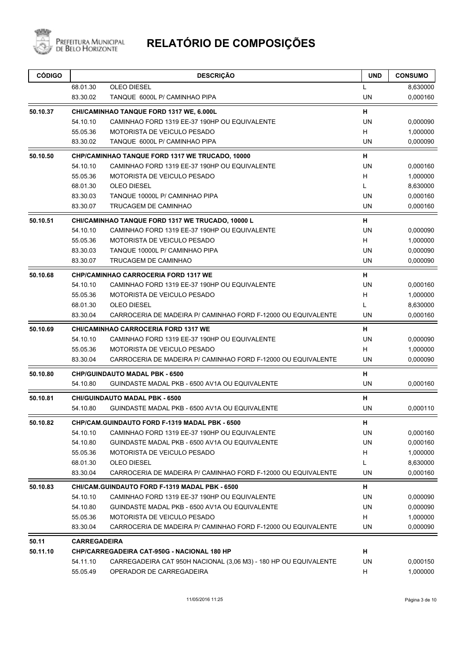

| <b>CÓDIGO</b> |                     | <b>DESCRIÇÃO</b>                                                 | <b>UND</b> | <b>CONSUMO</b> |
|---------------|---------------------|------------------------------------------------------------------|------------|----------------|
|               | 68.01.30            | <b>OLEO DIESEL</b>                                               | L          | 8,630000       |
|               | 83.30.02            | TANQUE 6000L P/ CAMINHAO PIPA                                    | <b>UN</b>  | 0,000160       |
| 50.10.37      |                     | CHI/CAMINHAO TANQUE FORD 1317 WE, 6.000L                         | н          |                |
|               | 54.10.10            | CAMINHAO FORD 1319 EE-37 190HP OU EQUIVALENTE                    | UN         | 0,000090       |
|               | 55.05.36            | MOTORISTA DE VEICULO PESADO                                      | H          | 1,000000       |
|               | 83.30.02            | TANQUE 6000L P/ CAMINHAO PIPA                                    | UN         | 0,000090       |
| 50.10.50      |                     | CHP/CAMINHAO TANQUE FORD 1317 WE TRUCADO, 10000                  | н          |                |
|               | 54.10.10            | CAMINHAO FORD 1319 EE-37 190HP OU EQUIVALENTE                    | <b>UN</b>  | 0,000160       |
|               | 55.05.36            | <b>MOTORISTA DE VEICULO PESADO</b>                               | H          | 1,000000       |
|               | 68.01.30            | <b>OLEO DIESEL</b>                                               | L          | 8,630000       |
|               | 83.30.03            | TANQUE 10000L P/ CAMINHAO PIPA                                   | <b>UN</b>  | 0,000160       |
|               | 83.30.07            | TRUCAGEM DE CAMINHAO                                             | UN         | 0,000160       |
| 50.10.51      |                     | CHI/CAMINHAO TANQUE FORD 1317 WE TRUCADO, 10000 L                | н          |                |
|               | 54.10.10            | CAMINHAO FORD 1319 EE-37 190HP OU EQUIVALENTE                    | UN         | 0,000090       |
|               | 55.05.36            | MOTORISTA DE VEICULO PESADO                                      | H          | 1,000000       |
|               | 83.30.03            | TANQUE 10000L P/ CAMINHAO PIPA                                   | <b>UN</b>  | 0,000090       |
|               | 83.30.07            | TRUCAGEM DE CAMINHAO                                             | <b>UN</b>  | 0,000090       |
| 50.10.68      |                     | <b>CHP/CAMINHAO CARROCERIA FORD 1317 WE</b>                      | н          |                |
|               | 54.10.10            | CAMINHAO FORD 1319 EE-37 190HP OU EQUIVALENTE                    | UN         | 0,000160       |
|               | 55.05.36            | MOTORISTA DE VEICULO PESADO                                      | H          | 1,000000       |
|               | 68.01.30            | <b>OLEO DIESEL</b>                                               | L          | 8,630000       |
|               | 83.30.04            | CARROCERIA DE MADEIRA P/ CAMINHAO FORD F-12000 OU EQUIVALENTE    | UN         | 0,000160       |
| 50.10.69      |                     | <b>CHI/CAMINHAO CARROCERIA FORD 1317 WE</b>                      | н          |                |
|               | 54.10.10            | CAMINHAO FORD 1319 EE-37 190HP OU EQUIVALENTE                    | <b>UN</b>  | 0,000090       |
|               | 55.05.36            | MOTORISTA DE VEICULO PESADO                                      | H          | 1,000000       |
|               | 83.30.04            | CARROCERIA DE MADEIRA P/ CAMINHAO FORD F-12000 OU EQUIVALENTE    | <b>UN</b>  | 0,000090       |
| 50.10.80      |                     | <b>CHP/GUINDAUTO MADAL PBK - 6500</b>                            | н          |                |
|               | 54.10.80            | GUINDASTE MADAL PKB - 6500 AV1A OU EQUIVALENTE                   | <b>UN</b>  | 0,000160       |
| 50.10.81      |                     | <b>CHI/GUINDAUTO MADAL PBK - 6500</b>                            | н          |                |
|               | 54.10.80            | GUINDASTE MADAL PKB - 6500 AV1A OU EQUIVALENTE                   | UN         | 0,000110       |
| 50.10.82      |                     | <b>CHP/CAM.GUINDAUTO FORD F-1319 MADAL PBK - 6500</b>            | н          |                |
|               | 54.10.10            | CAMINHAO FORD 1319 EE-37 190HP OU EQUIVALENTE                    | <b>UN</b>  | 0,000160       |
|               | 54.10.80            | GUINDASTE MADAL PKB - 6500 AV1A OU EQUIVALENTE                   | UN         | 0,000160       |
|               | 55.05.36            | MOTORISTA DE VEICULO PESADO                                      | H          | 1,000000       |
|               | 68.01.30            | <b>OLEO DIESEL</b>                                               | L          | 8,630000       |
|               | 83.30.04            | CARROCERIA DE MADEIRA P/ CAMINHAO FORD F-12000 OU EQUIVALENTE    | UN         | 0,000160       |
| 50.10.83      |                     | <b>CHI/CAM.GUINDAUTO FORD F-1319 MADAL PBK - 6500</b>            | н          |                |
|               | 54.10.10            | CAMINHAO FORD 1319 EE-37 190HP OU EQUIVALENTE                    | UN         | 0,000090       |
|               | 54.10.80            | GUINDASTE MADAL PKB - 6500 AV1A OU EQUIVALENTE                   | UN         | 0,000090       |
|               | 55.05.36            | MOTORISTA DE VEICULO PESADO                                      | H          | 1,000000       |
|               | 83.30.04            | CARROCERIA DE MADEIRA P/ CAMINHAO FORD F-12000 OU EQUIVALENTE    | UN         | 0,000090       |
| 50.11         | <b>CARREGADEIRA</b> |                                                                  |            |                |
| 50.11.10      |                     | <b>CHP/CARREGADEIRA CAT-950G - NACIONAL 180 HP</b>               | н          |                |
|               | 54.11.10            | CARREGADEIRA CAT 950H NACIONAL (3,06 M3) - 180 HP OU EQUIVALENTE | <b>UN</b>  | 0,000150       |
|               | 55.05.49            | OPERADOR DE CARREGADEIRA                                         | H          | 1,000000       |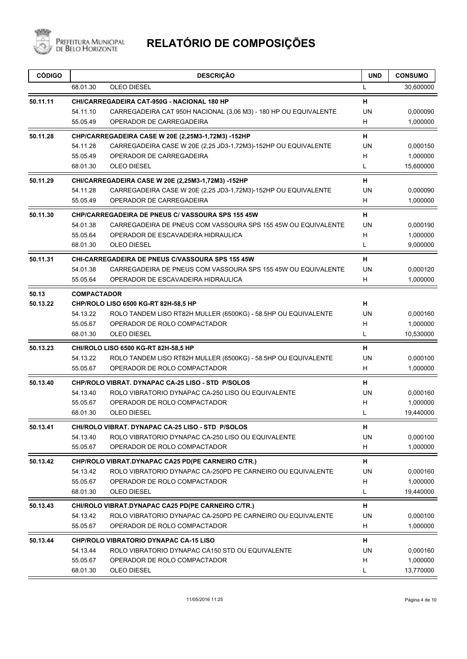

| <b>CÓDIGO</b> |                    | <b>DESCRIÇÃO</b>                                                 | <b>UND</b> | <b>CONSUMO</b> |
|---------------|--------------------|------------------------------------------------------------------|------------|----------------|
|               | 68.01.30           | <b>OLEO DIESEL</b>                                               | L          | 30,600000      |
| 50.11.11      |                    | <b>CHI/CARREGADEIRA CAT-950G - NACIONAL 180 HP</b>               | н          |                |
|               | 54.11.10           | CARREGADEIRA CAT 950H NACIONAL (3,06 M3) - 180 HP OU EQUIVALENTE | <b>UN</b>  | 0,000090       |
|               | 55.05.49           | OPERADOR DE CARREGADEIRA                                         | H          | 1,000000       |
| 50.11.28      |                    | CHP/CARREGADEIRA CASE W 20E (2,25M3-1,72M3) -152HP               | н          |                |
|               | 54.11.28           | CARREGADEIRA CASE W 20E (2,25 JD3-1,72M3)-152HP OU EQUIVALENTE   | UN         | 0,000150       |
|               | 55.05.49           | OPERADOR DE CARREGADEIRA                                         | H          | 1,000000       |
|               | 68.01.30           | <b>OLEO DIESEL</b>                                               | L          | 15,600000      |
| 50.11.29      |                    | CHI/CARREGADEIRA CASE W 20E (2,25M3-1,72M3) -152HP               | н          |                |
|               | 54.11.28           | CARREGADEIRA CASE W 20E (2,25 JD3-1,72M3)-152HP OU EQUIVALENTE   | <b>UN</b>  | 0,000090       |
|               | 55.05.49           | OPERADOR DE CARREGADEIRA                                         | H          | 1,000000       |
| 50.11.30      |                    | <b>CHP/CARREGADEIRA DE PNEUS C/ VASSOURA SPS 155 45W</b>         | н          |                |
|               | 54.01.38           | CARREGADEIRA DE PNEUS COM VASSOURA SPS 155 45W OU EQUIVALENTE    | <b>UN</b>  | 0,000190       |
|               | 55.05.64           | OPERADOR DE ESCAVADEIRA HIDRAULICA                               | н          | 1,000000       |
|               | 68.01.30           | <b>OLEO DIESEL</b>                                               | L          | 9,000000       |
| 50.11.31      |                    | <b>CHI-CARREGADEIRA DE PNEUS C/VASSOURA SPS 155 45W</b>          | н          |                |
|               | 54.01.38           | CARREGADEIRA DE PNEUS COM VASSOURA SPS 155 45W OU EQUIVALENTE    | <b>UN</b>  | 0,000120       |
|               | 55.05.64           | OPERADOR DE ESCAVADEIRA HIDRAULICA                               | H          | 1,000000       |
| 50.13         | <b>COMPACTADOR</b> |                                                                  |            |                |
| 50.13.22      |                    | CHP/ROLO LISO 6500 KG-RT 82H-58,5 HP                             | н          |                |
|               | 54.13.22           | ROLO TANDEM LISO RT82H MULLER (6500KG) - 58.5HP OU EQUIVALENTE   | <b>UN</b>  | 0,000160       |
|               | 55.05.67           | OPERADOR DE ROLO COMPACTADOR                                     | н          | 1,000000       |
|               | 68.01.30           | <b>OLEO DIESEL</b>                                               | L          | 10,530000      |
| 50.13.23      |                    | CHI/ROLO LISO 6500 KG-RT 82H-58,5 HP                             | н          |                |
|               | 54.13.22           | ROLO TANDEM LISO RT82H MULLER (6500KG) - 58.5HP OU EQUIVALENTE   | UN         | 0,000100       |
|               | 55.05.67           | OPERADOR DE ROLO COMPACTADOR                                     | H          | 1,000000       |
| 50.13.40      |                    | CHP/ROLO VIBRAT, DYNAPAC CA-25 LISO - STD P/SOLOS                | н          |                |
|               | 54.13.40           | ROLO VIBRATORIO DYNAPAC CA-250 LISO OU EQUIVALENTE               | <b>UN</b>  | 0,000160       |
|               | 55.05.67           | OPERADOR DE ROLO COMPACTADOR                                     | H          | 1,000000       |
|               | 68.01.30           | <b>OLEO DIESEL</b>                                               | Г          | 19,440000      |
| 50.13.41      |                    | CHI/ROLO VIBRAT, DYNAPAC CA-25 LISO - STD P/SOLOS                | н          |                |
|               | 54.13.40           | ROLO VIBRATORIO DYNAPAC CA-250 LISO OU EQUIVALENTE               | <b>UN</b>  | 0,000100       |
|               | 55.05.67           | OPERADOR DE ROLO COMPACTADOR                                     | H          | 1,000000       |
| 50.13.42      |                    | CHP/ROLO VIBRAT.DYNAPAC CA25 PD(PE CARNEIRO C/TR.)               | н          |                |
|               | 54.13.42           | ROLO VIBRATORIO DYNAPAC CA-250PD PE CARNEIRO OU EQUIVALENTE      | UN         | 0,000160       |
|               | 55.05.67           | OPERADOR DE ROLO COMPACTADOR                                     | Н          | 1,000000       |
|               | 68.01.30           | OLEO DIESEL                                                      | L          | 19,440000      |
| 50.13.43      |                    | CHI/ROLO VIBRAT.DYNAPAC CA25 PD(PE CARNEIRO C/TR.)               | н          |                |
|               | 54.13.42           | ROLO VIBRATORIO DYNAPAC CA-250PD PE CARNEIRO OU EQUIVALENTE      | <b>UN</b>  | 0,000100       |
|               | 55.05.67           | OPERADOR DE ROLO COMPACTADOR                                     | H          | 1,000000       |
| 50.13.44      |                    | <b>CHP/ROLO VIBRATORIO DYNAPAC CA-15 LISO</b>                    | н          |                |
|               | 54.13.44           | ROLO VIBRATORIO DYNAPAC CA150 STD OU EQUIVALENTE                 | UN         | 0,000160       |
|               | 55.05.67           | OPERADOR DE ROLO COMPACTADOR                                     | H          | 1,000000       |
|               | 68.01.30           | OLEO DIESEL                                                      | L          | 13,770000      |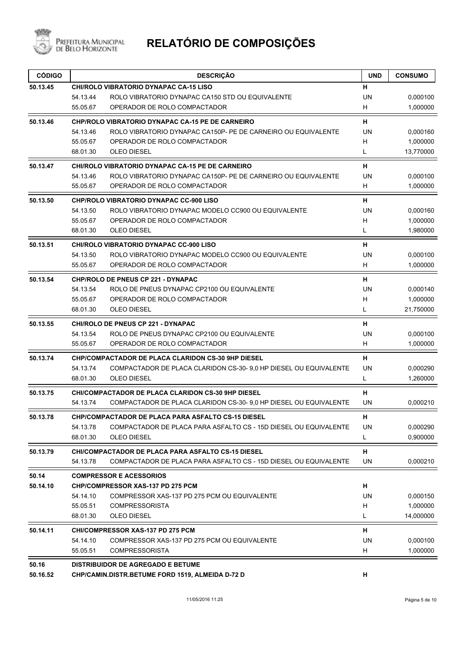

| <b>CÓDIGO</b> | <b>DESCRIÇÃO</b>                                                             | <b>UND</b> | <b>CONSUMO</b> |
|---------------|------------------------------------------------------------------------------|------------|----------------|
| 50.13.45      | CHI/ROLO VIBRATORIO DYNAPAC CA-15 LISO                                       | н          |                |
|               | 54.13.44<br>ROLO VIBRATORIO DYNAPAC CA150 STD OU EQUIVALENTE                 | <b>UN</b>  | 0,000100       |
|               | 55.05.67<br>OPERADOR DE ROLO COMPACTADOR                                     | H          | 1,000000       |
| 50.13.46      | CHP/ROLO VIBRATORIO DYNAPAC CA-15 PE DE CARNEIRO                             | н          |                |
|               | ROLO VIBRATORIO DYNAPAC CA150P- PE DE CARNEIRO OU EQUIVALENTE<br>54.13.46    | <b>UN</b>  | 0,000160       |
|               | 55.05.67<br>OPERADOR DE ROLO COMPACTADOR                                     | н          | 1,000000       |
|               | 68.01.30<br><b>OLEO DIESEL</b>                                               | L          | 13,770000      |
| 50.13.47      | <b>CHI/ROLO VIBRATORIO DYNAPAC CA-15 PE DE CARNEIRO</b>                      | н          |                |
|               | 54.13.46<br>ROLO VIBRATORIO DYNAPAC CA150P- PE DE CARNEIRO OU EQUIVALENTE    | <b>UN</b>  | 0,000100       |
|               | 55.05.67<br>OPERADOR DE ROLO COMPACTADOR                                     | н          | 1,000000       |
| 50.13.50      | CHP/ROLO VIBRATORIO DYNAPAC CC-900 LISO                                      | н          |                |
|               | 54.13.50<br>ROLO VIBRATORIO DYNAPAC MODELO CC900 OU EQUIVALENTE              | <b>UN</b>  | 0,000160       |
|               | 55.05.67<br>OPERADOR DE ROLO COMPACTADOR                                     | H          | 1,000000       |
|               | <b>OLEO DIESEL</b><br>68.01.30                                               | L          | 1,980000       |
| 50.13.51      | <b>CHI/ROLO VIBRATORIO DYNAPAC CC-900 LISO</b>                               | н          |                |
|               | 54.13.50<br>ROLO VIBRATORIO DYNAPAC MODELO CC900 OU EQUIVALENTE              | <b>UN</b>  | 0,000100       |
|               | 55.05.67<br>OPERADOR DE ROLO COMPACTADOR                                     | H          | 1,000000       |
| 50.13.54      | <b>CHP/ROLO DE PNEUS CP 221 - DYNAPAC</b>                                    | н          |                |
|               | 54.13.54<br>ROLO DE PNEUS DYNAPAC CP2100 OU EQUIVALENTE                      | UN         | 0,000140       |
|               | 55.05.67<br>OPERADOR DE ROLO COMPACTADOR                                     | н          | 1,000000       |
|               | <b>OLEO DIESEL</b><br>68.01.30                                               | L          | 21,750000      |
| 50.13.55      | <b>CHI/ROLO DE PNEUS CP 221 - DYNAPAC</b>                                    | н          |                |
|               | 54.13.54<br>ROLO DE PNEUS DYNAPAC CP2100 OU EQUIVALENTE                      | UN         | 0,000100       |
|               | OPERADOR DE ROLO COMPACTADOR<br>55.05.67                                     | H          | 1,000000       |
| 50.13.74      | <b>CHP/COMPACTADOR DE PLACA CLARIDON CS-30 9HP DIESEL</b>                    | H          |                |
|               | 54.13.74<br>COMPACTADOR DE PLACA CLARIDON CS-30-9,0 HP DIESEL OU EQUIVALENTE | UN         | 0,000290       |
|               | <b>OLEO DIESEL</b><br>68.01.30                                               | L          | 1,260000       |
| 50.13.75      | CHI/COMPACTADOR DE PLACA CLARIDON CS-30 9HP DIESEL                           | н          |                |
|               | 54.13.74<br>COMPACTADOR DE PLACA CLARIDON CS-30-9,0 HP DIESEL OU EQUIVALENTE | UN         | 0,000210       |
| 50.13.78      | <b>CHP/COMPACTADOR DE PLACA PARA ASFALTO CS-15 DIESEL</b>                    | н          |                |
|               | COMPACTADOR DE PLACA PARA ASFALTO CS - 15D DIESEL OU EQUIVALENTE<br>54.13.78 | UN         | 0,000290       |
|               | 68.01.30<br>OLEO DIESEL                                                      | L          | 0,900000       |
| 50.13.79      | <b>CHI/COMPACTADOR DE PLACA PARA ASFALTO CS-15 DIESEL</b>                    | н          |                |
|               | 54.13.78<br>COMPACTADOR DE PLACA PARA ASFALTO CS - 15D DIESEL OU EQUIVALENTE | UN         | 0,000210       |
| 50.14         | <b>COMPRESSOR E ACESSORIOS</b>                                               |            |                |
| 50.14.10      | <b>CHP/COMPRESSOR XAS-137 PD 275 PCM</b>                                     | н          |                |
|               | COMPRESSOR XAS-137 PD 275 PCM OU EQUIVALENTE<br>54.14.10                     | UN         | 0,000150       |
|               | 55.05.51<br><b>COMPRESSORISTA</b>                                            | H          | 1,000000       |
|               | 68.01.30<br>OLEO DIESEL                                                      | L          | 14,000000      |
| 50.14.11      | <b>CHI/COMPRESSOR XAS-137 PD 275 PCM</b>                                     | н          |                |
|               | 54.14.10<br>COMPRESSOR XAS-137 PD 275 PCM OU EQUIVALENTE                     | <b>UN</b>  | 0,000100       |
|               | <b>COMPRESSORISTA</b><br>55.05.51                                            | H          | 1,000000       |
| 50.16         | <b>DISTRIBUIDOR DE AGREGADO E BETUME</b>                                     |            |                |
| 50.16.52      | CHP/CAMIN.DISTR.BETUME FORD 1519, ALMEIDA D-72 D                             | н          |                |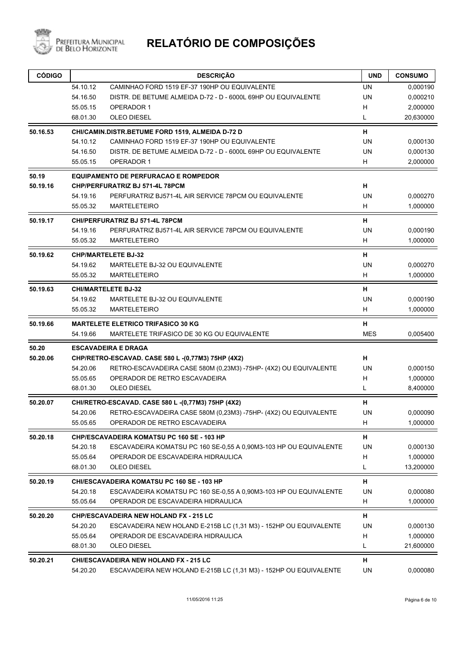

| <b>CÓDIGO</b> |          | <b>DESCRIÇÃO</b>                                                  | <b>UND</b> | <b>CONSUMO</b> |
|---------------|----------|-------------------------------------------------------------------|------------|----------------|
|               | 54.10.12 | CAMINHAO FORD 1519 EF-37 190HP OU EQUIVALENTE                     | UN         | 0,000190       |
|               | 54.16.50 | DISTR. DE BETUME ALMEIDA D-72 - D - 6000L 69HP OU EQUIVALENTE     | UN         | 0,000210       |
|               | 55.05.15 | OPERADOR 1                                                        | H          | 2,000000       |
|               | 68.01.30 | <b>OLEO DIESEL</b>                                                | L          | 20,630000      |
| 50.16.53      |          | CHI/CAMIN.DISTR.BETUME FORD 1519, ALMEIDA D-72 D                  | н          |                |
|               | 54.10.12 | CAMINHAO FORD 1519 EF-37 190HP OU EQUIVALENTE                     | UN         | 0,000130       |
|               | 54.16.50 | DISTR. DE BETUME ALMEIDA D-72 - D - 6000L 69HP OU EQUIVALENTE     | UN         | 0,000130       |
|               | 55.05.15 | OPERADOR 1                                                        | H          | 2,000000       |
| 50.19         |          | <b>EQUIPAMENTO DE PERFURACAO E ROMPEDOR</b>                       |            |                |
| 50.19.16      |          | <b>CHP/PERFURATRIZ BJ 571-4L 78PCM</b>                            | н          |                |
|               | 54.19.16 | PERFURATRIZ BJ571-4L AIR SERVICE 78PCM OU EQUIVALENTE             | <b>UN</b>  | 0,000270       |
|               | 55.05.32 | <b>MARTELETEIRO</b>                                               | H          | 1,000000       |
| 50.19.17      |          | CHI/PERFURATRIZ BJ 571-4L 78PCM                                   | н          |                |
|               | 54.19.16 | PERFURATRIZ BJ571-4L AIR SERVICE 78PCM OU EQUIVALENTE             | UN         | 0,000190       |
|               | 55.05.32 | <b>MARTELETEIRO</b>                                               | H          | 1,000000       |
| 50.19.62      |          | <b>CHP/MARTELETE BJ-32</b>                                        | н          |                |
|               | 54.19.62 | MARTELETE BJ-32 OU EQUIVALENTE                                    | <b>UN</b>  | 0,000270       |
|               | 55.05.32 | <b>MARTELETEIRO</b>                                               | H          | 1,000000       |
| 50.19.63      |          | <b>CHI/MARTELETE BJ-32</b>                                        | н          |                |
|               | 54.19.62 | MARTELETE BJ-32 OU EQUIVALENTE                                    | UN         | 0,000190       |
|               | 55.05.32 | <b>MARTELETEIRO</b>                                               | H          | 1,000000       |
| 50.19.66      |          | <b>MARTELETE ELETRICO TRIFASICO 30 KG</b>                         | н          |                |
|               | 54.19.66 | MARTELETE TRIFASICO DE 30 KG OU EQUIVALENTE                       | <b>MES</b> | 0,005400       |
| 50.20         |          | <b>ESCAVADEIRA E DRAGA</b>                                        |            |                |
| 50.20.06      |          | CHP/RETRO-ESCAVAD. CASE 580 L -(0,77M3) 75HP (4X2)                | н          |                |
|               | 54.20.06 | RETRO-ESCAVADEIRA CASE 580M (0,23M3) -75HP- (4X2) OU EQUIVALENTE  | <b>UN</b>  | 0,000150       |
|               | 55.05.65 | OPERADOR DE RETRO ESCAVADEIRA                                     | H          | 1,000000       |
|               | 68.01.30 | <b>OLEO DIESEL</b>                                                | L          | 8,400000       |
| 50.20.07      |          | CHI/RETRO-ESCAVAD. CASE 580 L -(0,77M3) 75HP (4X2)                | н          |                |
|               | 54.20.06 | RETRO-ESCAVADEIRA CASE 580M (0,23M3) -75HP- (4X2) OU EQUIVALENTE  | UN         | 0,000090       |
|               | 55.05.65 | OPERADOR DE RETRO ESCAVADEIRA                                     | H          | 1,000000       |
| 50.20.18      |          | <b>CHP/ESCAVADEIRA KOMATSU PC 160 SE - 103 HP</b>                 | н          |                |
|               | 54.20.18 | ESCAVADEIRA KOMATSU PC 160 SE-0,55 A 0,90M3-103 HP OU EQUIVALENTE | UN         | 0,000130       |
|               | 55.05.64 | OPERADOR DE ESCAVADEIRA HIDRAULICA                                | H          | 1,000000       |
|               | 68.01.30 | OLEO DIESEL                                                       | L          | 13,200000      |
| 50.20.19      |          | <b>CHI/ESCAVADEIRA KOMATSU PC 160 SE - 103 HP</b>                 | н          |                |
|               | 54.20.18 | ESCAVADEIRA KOMATSU PC 160 SE-0,55 A 0,90M3-103 HP OU EQUIVALENTE | UN         | 0,000080       |
|               | 55.05.64 | OPERADOR DE ESCAVADEIRA HIDRAULICA                                | H          | 1,000000       |
| 50.20.20      |          | <b>CHP/ESCAVADEIRA NEW HOLAND FX - 215 LC</b>                     | н          |                |
|               | 54.20.20 | ESCAVADEIRA NEW HOLAND E-215B LC (1,31 M3) - 152HP OU EQUIVALENTE | <b>UN</b>  | 0,000130       |
|               | 55.05.64 | OPERADOR DE ESCAVADEIRA HIDRAULICA                                | н          | 1,000000       |
|               | 68.01.30 | OLEO DIESEL                                                       | L          | 21,600000      |
| 50.20.21      |          | <b>CHI/ESCAVADEIRA NEW HOLAND FX - 215 LC</b>                     | н          |                |
|               | 54.20.20 | ESCAVADEIRA NEW HOLAND E-215B LC (1,31 M3) - 152HP OU EQUIVALENTE | UN         | 0,000080       |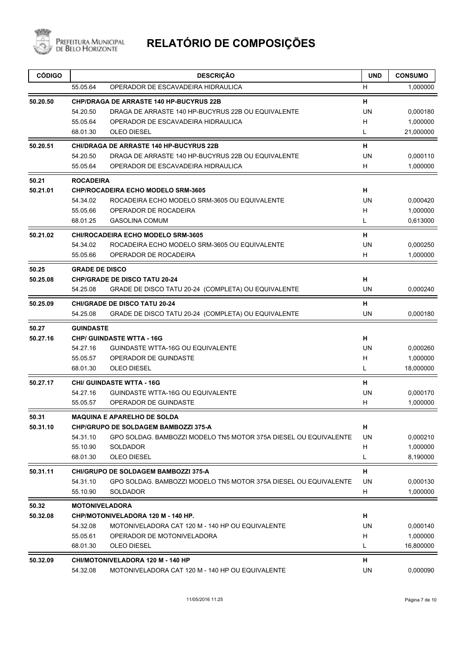

| <b>CÓDIGO</b> | <b>DESCRIÇÃO</b>                                                             | <b>UND</b> | <b>CONSUMO</b> |
|---------------|------------------------------------------------------------------------------|------------|----------------|
|               | 55.05.64<br>OPERADOR DE ESCAVADEIRA HIDRAULICA                               | н          | 1,000000       |
| 50.20.50      | CHP/DRAGA DE ARRASTE 140 HP-BUCYRUS 22B                                      | н          |                |
|               | 54.20.50<br>DRAGA DE ARRASTE 140 HP-BUCYRUS 22B OU EQUIVALENTE               | UN         | 0,000180       |
|               | 55.05.64<br>OPERADOR DE ESCAVADEIRA HIDRAULICA                               | н          | 1,000000       |
|               | <b>OLEO DIESEL</b><br>68.01.30                                               | L          | 21,000000      |
| 50.20.51      | <b>CHI/DRAGA DE ARRASTE 140 HP-BUCYRUS 22B</b>                               | н          |                |
|               | 54.20.50<br>DRAGA DE ARRASTE 140 HP-BUCYRUS 22B OU EQUIVALENTE               | UN         | 0,000110       |
|               | 55.05.64<br>OPERADOR DE ESCAVADEIRA HIDRAULICA                               | н          | 1,000000       |
| 50.21         | <b>ROCADEIRA</b>                                                             |            |                |
| 50.21.01      | <b>CHP/ROCADEIRA ECHO MODELO SRM-3605</b>                                    | н          |                |
|               | 54.34.02<br>ROCADEIRA ECHO MODELO SRM-3605 OU EQUIVALENTE                    | UN         | 0,000420       |
|               | 55.05.66<br>OPERADOR DE ROCADEIRA                                            | H          | 1,000000       |
|               | 68.01.25<br><b>GASOLINA COMUM</b>                                            | L          | 0,613000       |
| 50.21.02      | <b>CHI/ROCADEIRA ECHO MODELO SRM-3605</b>                                    | н          |                |
|               | ROCADEIRA ECHO MODELO SRM-3605 OU EQUIVALENTE<br>54.34.02                    | UN         | 0,000250       |
|               | 55.05.66<br>OPERADOR DE ROCADEIRA                                            | H          | 1,000000       |
| 50.25         | <b>GRADE DE DISCO</b>                                                        |            |                |
| 50.25.08      | <b>CHP/GRADE DE DISCO TATU 20-24</b>                                         | н          |                |
|               | 54.25.08<br>GRADE DE DISCO TATU 20-24 (COMPLETA) OU EQUIVALENTE              | UN         | 0,000240       |
| 50.25.09      | <b>CHI/GRADE DE DISCO TATU 20-24</b>                                         | н          |                |
|               | 54.25.08<br>GRADE DE DISCO TATU 20-24 (COMPLETA) OU EQUIVALENTE              | UN         | 0,000180       |
| 50.27         | <b>GUINDASTE</b>                                                             |            |                |
| 50.27.16      | <b>CHP/ GUINDASTE WTTA - 16G</b>                                             | н          |                |
|               | 54.27.16<br>GUINDASTE WTTA-16G OU EQUIVALENTE                                | UN         | 0,000260       |
|               | 55.05.57<br>OPERADOR DE GUINDASTE                                            | н          | 1,000000       |
|               | 68.01.30<br><b>OLEO DIESEL</b>                                               | Г          | 18,000000      |
| 50.27.17      | <b>CHI/ GUINDASTE WTTA - 16G</b>                                             | н          |                |
|               | 54.27.16<br>GUINDASTE WTTA-16G OU EQUIVALENTE                                | UN         | 0,000170       |
|               | 55.05.57<br>OPERADOR DE GUINDASTE                                            | н          | 1,000000       |
| 50.31         | <b>MAQUINA E APARELHO DE SOLDA</b>                                           |            |                |
|               |                                                                              |            |                |
| 50.31.10      | <b>CHP/GRUPO DE SOLDAGEM BAMBOZZI 375-A</b>                                  | н          |                |
|               | GPO SOLDAG. BAMBOZZI MODELO TN5 MOTOR 375A DIESEL OU EQUIVALENTE<br>54.31.10 | UN         | 0,000210       |
|               | 55.10.90<br>SOLDADOR                                                         | н          | 1,000000       |
|               | OLEO DIESEL<br>68.01.30                                                      | L.         | 8,190000       |
| 50.31.11      | <b>CHI/GRUPO DE SOLDAGEM BAMBOZZI 375-A</b>                                  | н          |                |
|               | 54.31.10<br>GPO SOLDAG. BAMBOZZI MODELO TN5 MOTOR 375A DIESEL OU EQUIVALENTE | UN         | 0,000130       |
|               | 55.10.90<br><b>SOLDADOR</b>                                                  | н          | 1,000000       |
| 50.32         | <b>MOTONIVELADORA</b>                                                        |            |                |
| 50.32.08      | CHP/MOTONIVELADORA 120 M - 140 HP.                                           | н          |                |
|               | 54.32.08<br>MOTONIVELADORA CAT 120 M - 140 HP OU EQUIVALENTE                 | UN         | 0,000140       |
|               | 55.05.61<br>OPERADOR DE MOTONIVELADORA                                       | н          | 1,000000       |
|               | <b>OLEO DIESEL</b><br>68.01.30                                               | L.         | 16,800000      |
| 50.32.09      | CHI/MOTONIVELADORA 120 M - 140 HP                                            | н          |                |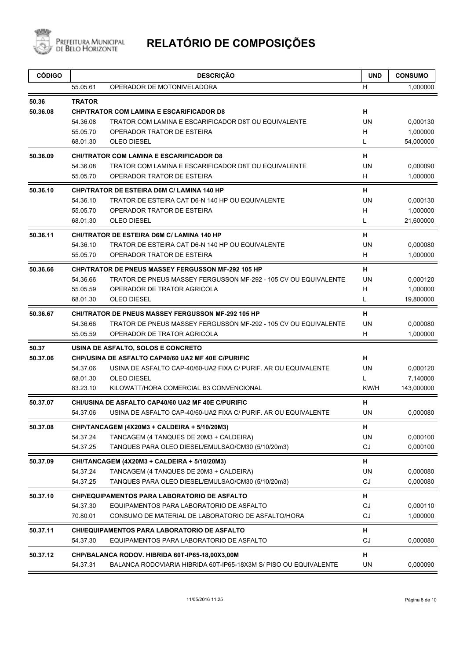

| <b>CÓDIGO</b> | <b>DESCRIÇÃO</b>                                                             | <b>UND</b> | <b>CONSUMO</b> |
|---------------|------------------------------------------------------------------------------|------------|----------------|
|               | OPERADOR DE MOTONIVELADORA<br>55.05.61                                       | н          | 1,000000       |
| 50.36         | <b>TRATOR</b>                                                                |            |                |
| 50.36.08      | <b>CHP/TRATOR COM LAMINA E ESCARIFICADOR D8</b>                              | н          |                |
|               | 54.36.08<br>TRATOR COM LAMINA E ESCARIFICADOR D8T OU EQUIVALENTE             | UN         | 0,000130       |
|               | 55.05.70<br>OPERADOR TRATOR DE ESTEIRA                                       | н          | 1,000000       |
|               | 68.01.30<br><b>OLEO DIESEL</b>                                               | L          | 54,000000      |
| 50.36.09      | <b>CHI/TRATOR COM LAMINA E ESCARIFICADOR D8</b>                              | н          |                |
|               | 54.36.08<br>TRATOR COM LAMINA E ESCARIFICADOR D8T OU EQUIVALENTE             | <b>UN</b>  | 0,000090       |
|               | 55.05.70<br>OPERADOR TRATOR DE ESTEIRA                                       | н          | 1,000000       |
| 50.36.10      | <b>CHP/TRATOR DE ESTEIRA D6M C/ LAMINA 140 HP</b>                            | н          |                |
|               | 54.36.10<br>TRATOR DE ESTEIRA CAT D6-N 140 HP OU EQUIVALENTE                 | <b>UN</b>  | 0,000130       |
|               | 55.05.70<br>OPERADOR TRATOR DE ESTEIRA                                       | н          | 1,000000       |
|               | 68.01.30<br><b>OLEO DIESEL</b>                                               | L          | 21,600000      |
| 50.36.11      | <b>CHI/TRATOR DE ESTEIRA D6M C/ LAMINA 140 HP</b>                            | н          |                |
|               | 54.36.10<br>TRATOR DE ESTEIRA CAT D6-N 140 HP OU EQUIVALENTE                 | UN         | 0,000080       |
|               | 55.05.70<br>OPERADOR TRATOR DE ESTEIRA                                       | H          | 1,000000       |
| 50.36.66      | <b>CHP/TRATOR DE PNEUS MASSEY FERGUSSON MF-292 105 HP</b>                    | н          |                |
|               | 54.36.66<br>TRATOR DE PNEUS MASSEY FERGUSSON MF-292 - 105 CV OU EQUIVALENTE  | UN         | 0,000120       |
|               | 55.05.59<br>OPERADOR DE TRATOR AGRICOLA                                      | H          | 1,000000       |
|               | 68.01.30<br><b>OLEO DIESEL</b>                                               | L          | 19,800000      |
| 50.36.67      | <b>CHI/TRATOR DE PNEUS MASSEY FERGUSSON MF-292 105 HP</b>                    | н          |                |
|               | 54.36.66<br>TRATOR DE PNEUS MASSEY FERGUSSON MF-292 - 105 CV OU EQUIVALENTE  | <b>UN</b>  | 0,000080       |
|               | OPERADOR DE TRATOR AGRICOLA<br>55.05.59                                      | H          | 1,000000       |
| 50.37         | USINA DE ASFALTO, SOLOS E CONCRETO                                           |            |                |
| 50.37.06      | <b>CHP/USINA DE ASFALTO CAP40/60 UA2 MF 40E C/PURIFIC</b>                    | н          |                |
|               | 54.37.06<br>USINA DE ASFALTO CAP-40/60-UA2 FIXA C/ PURIF. AR OU EQUIVALENTE  | <b>UN</b>  | 0,000120       |
|               | 68.01.30<br><b>OLEO DIESEL</b>                                               | L          | 7,140000       |
|               | 83.23.10<br>KILOWATT/HORA COMERCIAL B3 CONVENCIONAL                          | KW/H       | 143,000000     |
| 50.37.07      | <b>CHI/USINA DE ASFALTO CAP40/60 UA2 MF 40E C/PURIFIC</b>                    | н          |                |
|               | 54.37.06<br>USINA DE ASFALTO CAP-40/60-UA2 FIXA C/ PURIF. AR OU EQUIVALENTE  | UN         | 0.000080       |
| 50.37.08      | CHP/TANCAGEM (4X20M3 + CALDEIRA + 5/10/20M3)                                 | н          |                |
|               | 54.37.24<br>TANCAGEM (4 TANQUES DE 20M3 + CALDEIRA)                          | <b>UN</b>  | 0,000100       |
|               | 54.37.25<br>TANQUES PARA OLEO DIESEL/EMULSAO/CM30 (5/10/20m3)                | CJ         | 0,000100       |
| 50.37.09      | CHI/TANCAGEM (4X20M3 + CALDEIRA + 5/10/20M3)                                 | н          |                |
|               | 54.37.24<br>TANCAGEM (4 TANQUES DE 20M3 + CALDEIRA)                          | UN         | 0,000080       |
|               | 54.37.25<br>TANQUES PARA OLEO DIESEL/EMULSAO/CM30 (5/10/20m3)                | CJ         | 0,000080       |
| 50.37.10      | <b>CHP/EQUIPAMENTOS PARA LABORATORIO DE ASFALTO</b>                          | н          |                |
|               | 54.37.30<br>EQUIPAMENTOS PARA LABORATORIO DE ASFALTO                         | CJ         | 0,000110       |
|               | 70.80.01<br>CONSUMO DE MATERIAL DE LABORATORIO DE ASFALTO/HORA               | CJ         | 1,000000       |
| 50.37.11      | <b>CHI/EQUIPAMENTOS PARA LABORATORIO DE ASFALTO</b>                          | н          |                |
|               | 54.37.30<br>EQUIPAMENTOS PARA LABORATORIO DE ASFALTO                         | CJ         | 0,000080       |
| 50.37.12      | CHP/BALANCA RODOV. HIBRIDA 60T-IP65-18,00X3,00M                              | н          |                |
|               | 54.37.31<br>BALANCA RODOVIARIA HIBRIDA 60T-IP65-18X3M S/ PISO OU EQUIVALENTE | UN         | 0,000090       |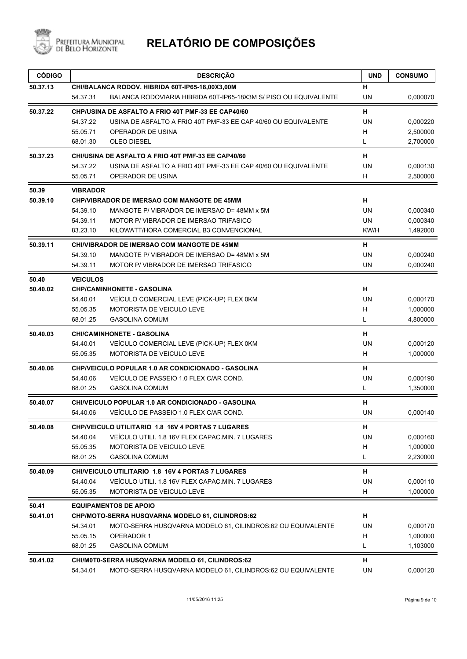

| <b>CÓDIGO</b> | <b>DESCRIÇÃO</b>                                                             | <b>UND</b> | <b>CONSUMO</b> |
|---------------|------------------------------------------------------------------------------|------------|----------------|
| 50.37.13      | CHI/BALANCA RODOV. HIBRIDA 60T-IP65-18,00X3,00M                              | н          |                |
|               | 54.37.31<br>BALANCA RODOVIARIA HIBRIDA 60T-IP65-18X3M S/ PISO OU EQUIVALENTE | UN         | 0,000070       |
| 50.37.22      | CHP/USINA DE ASFALTO A FRIO 40T PMF-33 EE CAP40/60                           | н          |                |
|               | 54.37.22<br>USINA DE ASFALTO A FRIO 40T PMF-33 EE CAP 40/60 OU EQUIVALENTE   | UN         | 0,000220       |
|               | 55.05.71<br>OPERADOR DE USINA                                                | H          | 2,500000       |
|               | 68.01.30<br><b>OLEO DIESEL</b>                                               | L          | 2,700000       |
| 50.37.23      | CHI/USINA DE ASFALTO A FRIO 40T PMF-33 EE CAP40/60                           | н          |                |
|               | 54.37.22<br>USINA DE ASFALTO A FRIO 40T PMF-33 EE CAP 40/60 OU EQUIVALENTE   | <b>UN</b>  | 0,000130       |
|               | 55.05.71<br>OPERADOR DE USINA                                                | H          | 2,500000       |
| 50.39         | <b>VIBRADOR</b>                                                              |            |                |
| 50.39.10      | <b>CHP/VIBRADOR DE IMERSAO COM MANGOTE DE 45MM</b>                           | н          |                |
|               | 54.39.10<br>MANGOTE P/ VIBRADOR DE IMERSAO D= 48MM x 5M                      | UN         | 0,000340       |
|               | 54.39.11<br>MOTOR P/ VIBRADOR DE IMERSAO TRIFASICO                           | <b>UN</b>  | 0,000340       |
|               | 83.23.10<br>KILOWATT/HORA COMERCIAL B3 CONVENCIONAL                          | KW/H       | 1,492000       |
| 50.39.11      | <b>CHI/VIBRADOR DE IMERSAO COM MANGOTE DE 45MM</b>                           | н          |                |
|               | 54.39.10<br>MANGOTE P/ VIBRADOR DE IMERSAO D= 48MM x 5M                      | UN         | 0,000240       |
|               | 54.39.11<br>MOTOR P/ VIBRADOR DE IMERSAO TRIFASICO                           | <b>UN</b>  | 0,000240       |
| 50.40         | <b>VEICULOS</b>                                                              |            |                |
| 50.40.02      | <b>CHP/CAMINHONETE - GASOLINA</b>                                            | н          |                |
|               | 54.40.01<br>VEÍCULO COMERCIAL LEVE (PICK-UP) FLEX 0KM                        | UN         | 0,000170       |
|               | MOTORISTA DE VEICULO LEVE<br>55.05.35                                        | H          | 1,000000       |
|               | 68.01.25<br><b>GASOLINA COMUM</b>                                            | L          | 4,800000       |
| 50.40.03      | <b>CHI/CAMINHONETE - GASOLINA</b>                                            | н          |                |
|               | 54.40.01<br>VEÍCULO COMERCIAL LEVE (PICK-UP) FLEX 0KM                        | <b>UN</b>  | 0,000120       |
|               | MOTORISTA DE VEICULO LEVE<br>55.05.35                                        | H          | 1,000000       |
| 50.40.06      | <b>CHP/VEICULO POPULAR 1.0 AR CONDICIONADO - GASOLINA</b>                    | н          |                |
|               | 54.40.06<br>VEICULO DE PASSEIO 1.0 FLEX C/AR COND.                           | UN         | 0,000190       |
|               | <b>GASOLINA COMUM</b><br>68.01.25                                            | L          | 1,350000       |
| 50.40.07      | <b>CHI/VEICULO POPULAR 1.0 AR CONDICIONADO - GASOLINA</b>                    | н          |                |
|               | VEÍCULO DE PASSEIO 1.0 FLEX C/AR COND.<br>54.40.06                           | <b>UN</b>  | 0,000140       |
| 50.40.08      | <b>CHP/VEICULO UTILITARIO 1.8 16V 4 PORTAS 7 LUGARES</b>                     | н          |                |
|               | 54.40.04<br>VEICULO UTILI. 1.8 16V FLEX CAPAC.MIN. 7 LUGARES                 | <b>UN</b>  | 0,000160       |
|               | 55.05.35<br><b>MOTORISTA DE VEICULO LEVE</b>                                 | H          | 1,000000       |
|               | 68.01.25<br><b>GASOLINA COMUM</b>                                            | L          | 2,230000       |
| 50.40.09      | <b>CHI/VEICULO UTILITARIO 1.8 16V 4 PORTAS 7 LUGARES</b>                     | н          |                |
|               | 54.40.04<br>VEÍCULO UTILI. 1.8 16V FLEX CAPAC.MIN. 7 LUGARES                 | <b>UN</b>  | 0,000110       |
|               | 55.05.35<br><b>MOTORISTA DE VEICULO LEVE</b>                                 | H          | 1,000000       |
| 50.41         | <b>EQUIPAMENTOS DE APOIO</b>                                                 |            |                |
| 50.41.01      | CHP/MOTO-SERRA HUSQVARNA MODELO 61, CILINDROS:62                             | н          |                |
|               | 54.34.01<br>MOTO-SERRA HUSQVARNA MODELO 61, CILINDROS:62 OU EQUIVALENTE      | UN         | 0,000170       |
|               | 55.05.15<br>OPERADOR 1                                                       | H          | 1,000000       |
|               | 68.01.25<br><b>GASOLINA COMUM</b>                                            | L          | 1,103000       |
| 50.41.02      | CHI/M0T0-SERRA HUSQVARNA MODELO 61, CILINDROS:62                             | н          |                |
|               | 54.34.01<br>MOTO-SERRA HUSQVARNA MODELO 61, CILINDROS:62 OU EQUIVALENTE      | UN         | 0,000120       |